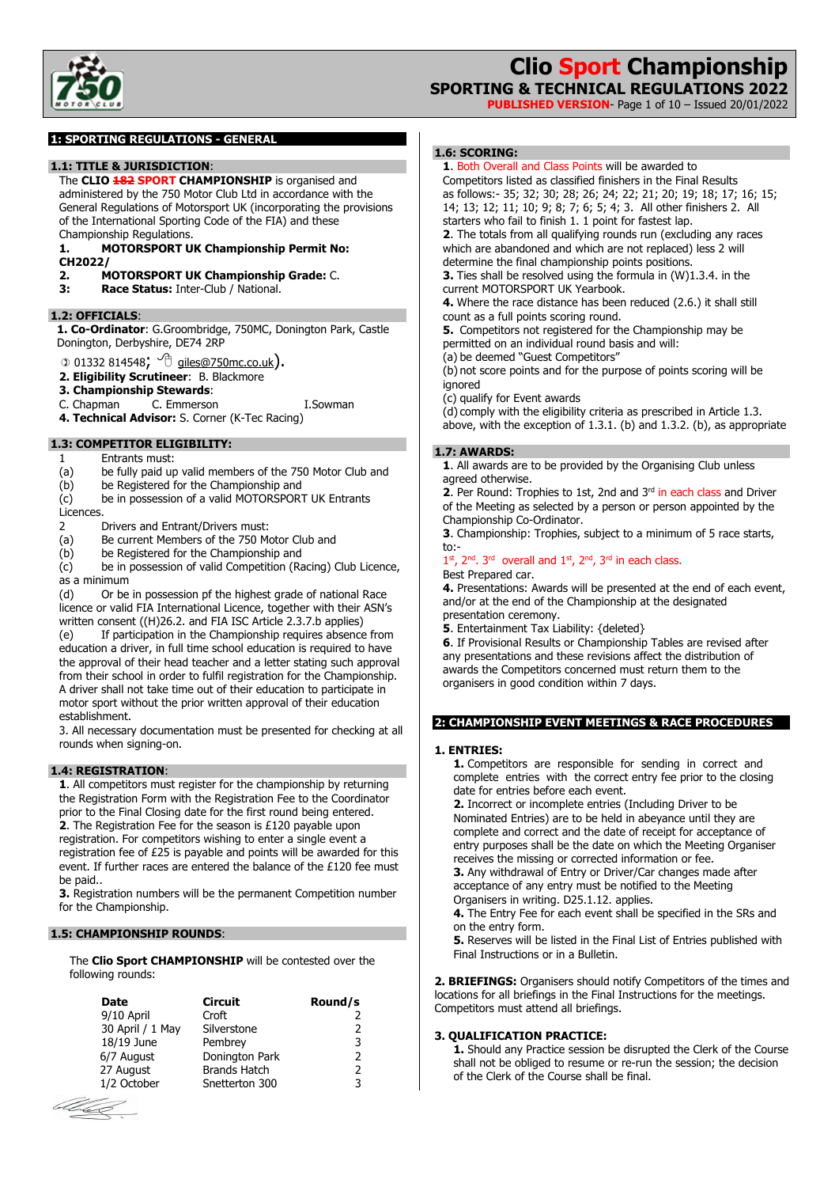

**PUBLISHED VERSION**- Page 1 of 10 – Issued 20/01/2022

## **1: SPORTING REGULATIONS - GENERAL**

#### **1.1: TITLE & JURISDICTION**:

The **CLIO 182 SPORT CHAMPIONSHIP** is organised and administered by the 750 Motor Club Ltd in accordance with the General Regulations of Motorsport UK (incorporating the provisions of the International Sporting Code of the FIA) and these Championship Regulations.

**1. MOTORSPORT UK Championship Permit No:** 

- **CH2022/**
- **2. MOTORSPORT UK Championship Grade:** C.
- **3: Race Status:** Inter-Club / National.

#### **1.2: OFFICIALS**:

**1. Co-Ordinator**: G.Groombridge, 750MC, Donington Park, Castle Donington, Derbyshire, DE74 2RP

 $\circ$  01332 814548;  $\circ$  giles@750mc.co.uk).

- **2. Eligibility Scrutineer**: B. Blackmore
- **3. Championship Stewards**:
- C. Chapman C. Emmerson I.Sowman
- **4. Technical Advisor:** S. Corner (K-Tec Racing)

## **1.3: COMPETITOR ELIGIBILITY:**

- 1 Entrants must:
- (a) be fully paid up valid members of the 750 Motor Club and
- (b) be Registered for the Championship and
- (c) be in possession of a valid MOTORSPORT UK Entrants

#### **Licences**

- 2 Drivers and Entrant/Drivers must:
- (a) Be current Members of the 750 Motor Club and
- 
- (b) be Registered for the Championship and<br>(c) be in possession of valid Competition (Ra be in possession of valid Competition (Racing) Club Licence, as a minimum

(d) Or be in possession pf the highest grade of national Race licence or valid FIA International Licence, together with their ASN's written consent ((H)26.2. and FIA ISC Article 2.3.7.b applies) (e) If participation in the Championship requires absence from education a driver, in full time school education is required to have the approval of their head teacher and a letter stating such approval from their school in order to fulfil registration for the Championship. A driver shall not take time out of their education to participate in motor sport without the prior written approval of their education establishment.

3. All necessary documentation must be presented for checking at all rounds when signing-on.

## **1.4: REGISTRATION**:

**1**. All competitors must register for the championship by returning the Registration Form with the Registration Fee to the Coordinator prior to the Final Closing date for the first round being entered. **2**. The Registration Fee for the season is £120 payable upon registration. For competitors wishing to enter a single event a registration fee of £25 is payable and points will be awarded for this event. If further races are entered the balance of the £120 fee must be paid..

**3.** Registration numbers will be the permanent Competition number for the Championship.

## **1.5: CHAMPIONSHIP ROUNDS**:

The **Clio Sport CHAMPIONSHIP** will be contested over the following rounds:

| Date             | Circuit             | Round/s       |
|------------------|---------------------|---------------|
| 9/10 April       | Croft               |               |
| 30 April / 1 May | Silverstone         | $\mathcal{P}$ |
| 18/19 June       | Pembrey             | 3             |
| 6/7 August       | Donington Park      | $\mathcal{P}$ |
| 27 August        | <b>Brands Hatch</b> | $\mathcal{P}$ |
| 1/2 October      | Snetterton 300      | 3             |



## **1.6: SCORING:**

**1**. Both Overall and Class Points will be awarded to

Competitors listed as classified finishers in the Final Results as follows:- 35; 32; 30; 28; 26; 24; 22; 21; 20; 19; 18; 17; 16; 15; 14; 13; 12; 11; 10; 9; 8; 7; 6; 5; 4; 3. All other finishers 2. All starters who fail to finish 1. 1 point for fastest lap.

**2**. The totals from all qualifying rounds run (excluding any races which are abandoned and which are not replaced) less 2 will determine the final championship points positions.

**3.** Ties shall be resolved using the formula in (W)1.3.4. in the current MOTORSPORT UK Yearbook.

**4.** Where the race distance has been reduced (2.6.) it shall still count as a full points scoring round.

**5.** Competitors not registered for the Championship may be permitted on an individual round basis and will:

(a) be deemed "Guest Competitors"

(b) not score points and for the purpose of points scoring will be ignored

(c) qualify for Event awards

 $(d)$  comply with the eligibility criteria as prescribed in Article 1.3.

above, with the exception of 1.3.1. (b) and 1.3.2. (b), as appropriate

### **1.7: AWARDS:**

**1**. All awards are to be provided by the Organising Club unless agreed otherwise.

**2.** Per Round: Trophies to 1st, 2nd and 3<sup>rd</sup> in each class and Driver of the Meeting as selected by a person or person appointed by the Championship Co-Ordinator.

**3**. Championship: Trophies, subject to a minimum of 5 race starts, to:-

#### $1<sup>st</sup>$ ,  $2<sup>nd</sup>$ .  $3<sup>rd</sup>$  overall and  $1<sup>st</sup>$ ,  $2<sup>nd</sup>$ ,  $3<sup>rd</sup>$  in each class. Best Prepared car.

**4.** Presentations: Awards will be presented at the end of each event, and/or at the end of the Championship at the designated presentation ceremony.

**5**. Entertainment Tax Liability: {deleted}

**6**. If Provisional Results or Championship Tables are revised after any presentations and these revisions affect the distribution of awards the Competitors concerned must return them to the organisers in good condition within 7 days.

#### **2: CHAMPIONSHIP EVENT MEETINGS & RACE PROCEDURES**

#### **1. ENTRIES:**

**1.** Competitors are responsible for sending in correct and complete entries with the correct entry fee prior to the closing date for entries before each event.

**2.** Incorrect or incomplete entries (Including Driver to be Nominated Entries) are to be held in abeyance until they are complete and correct and the date of receipt for acceptance of entry purposes shall be the date on which the Meeting Organiser receives the missing or corrected information or fee.

**3.** Any withdrawal of Entry or Driver/Car changes made after acceptance of any entry must be notified to the Meeting Organisers in writing. D25.1.12. applies.

**4.** The Entry Fee for each event shall be specified in the SRs and on the entry form.

**5.** Reserves will be listed in the Final List of Entries published with Final Instructions or in a Bulletin.

**2. BRIEFINGS:** Organisers should notify Competitors of the times and locations for all briefings in the Final Instructions for the meetings. Competitors must attend all briefings.

## **3. QUALIFICATION PRACTICE:**

**1.** Should any Practice session be disrupted the Clerk of the Course shall not be obliged to resume or re-run the session; the decision of the Clerk of the Course shall be final.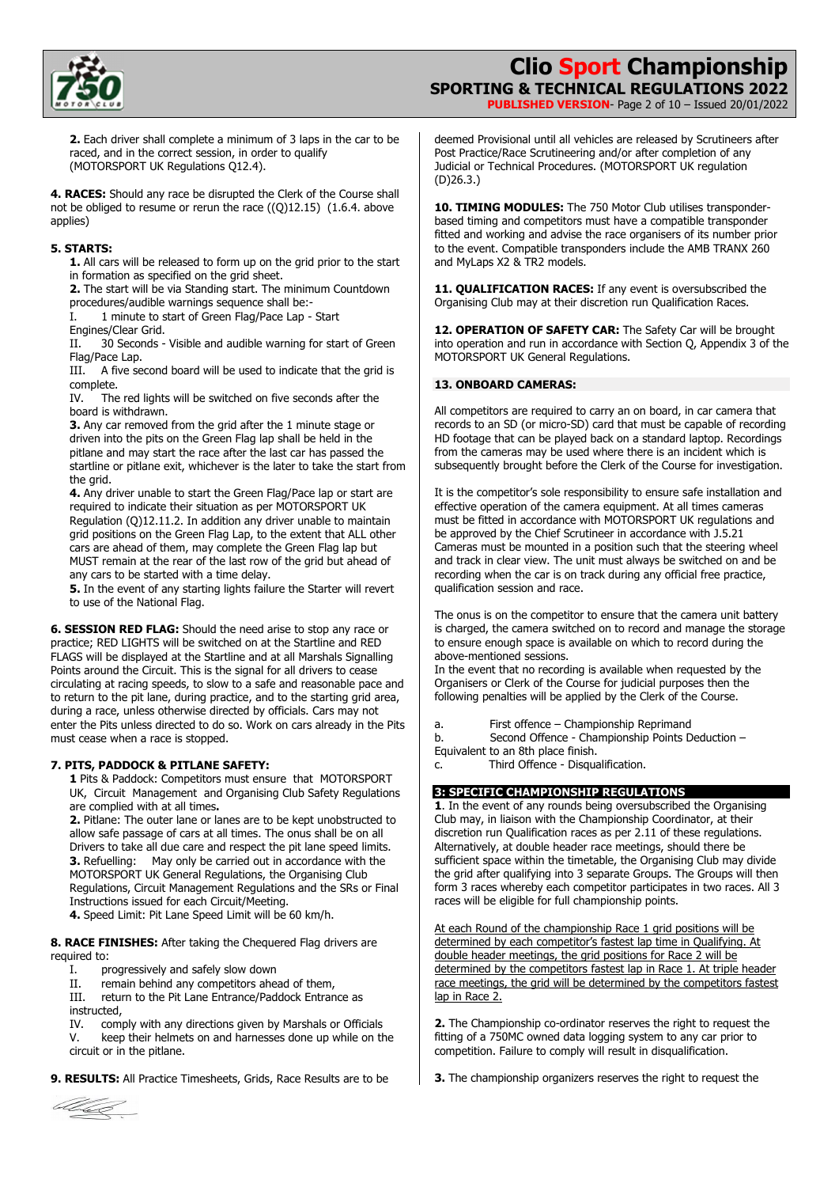

**PUBLISHED VERSION**- Page 2 of 10 – Issued 20/01/2022

**2.** Each driver shall complete a minimum of 3 laps in the car to be raced, and in the correct session, in order to qualify (MOTORSPORT UK Regulations Q12.4).

**4. RACES:** Should any race be disrupted the Clerk of the Course shall not be obliged to resume or rerun the race ((Q)12.15) (1.6.4. above applies)

#### **5. STARTS:**

**1.** All cars will be released to form up on the grid prior to the start in formation as specified on the grid sheet.

**2.** The start will be via Standing start. The minimum Countdown procedures/audible warnings sequence shall be:-

I. 1 minute to start of Green Flag/Pace Lap - Start

Engines/Clear Grid.

II. 30 Seconds - Visible and audible warning for start of Green Flag/Pace Lap.

III. A five second board will be used to indicate that the grid is complete.

IV. The red lights will be switched on five seconds after the board is withdrawn.

**3.** Any car removed from the grid after the 1 minute stage or driven into the pits on the Green Flag lap shall be held in the pitlane and may start the race after the last car has passed the startline or pitlane exit, whichever is the later to take the start from the grid.

**4.** Any driver unable to start the Green Flag/Pace lap or start are required to indicate their situation as per MOTORSPORT UK Regulation (Q)12.11.2. In addition any driver unable to maintain grid positions on the Green Flag Lap, to the extent that ALL other cars are ahead of them, may complete the Green Flag lap but MUST remain at the rear of the last row of the grid but ahead of any cars to be started with a time delay.

**5.** In the event of any starting lights failure the Starter will revert to use of the National Flag.

**6. SESSION RED FLAG:** Should the need arise to stop any race or practice; RED LIGHTS will be switched on at the Startline and RED FLAGS will be displayed at the Startline and at all Marshals Signalling Points around the Circuit. This is the signal for all drivers to cease circulating at racing speeds, to slow to a safe and reasonable pace and to return to the pit lane, during practice, and to the starting grid area, during a race, unless otherwise directed by officials. Cars may not enter the Pits unless directed to do so. Work on cars already in the Pits must cease when a race is stopped.

## **7. PITS, PADDOCK & PITLANE SAFETY:**

**1** Pits & Paddock: Competitors must ensure that MOTORSPORT UK, Circuit Management and Organising Club Safety Regulations are complied with at all times**.** 

**2.** Pitlane: The outer lane or lanes are to be kept unobstructed to allow safe passage of cars at all times. The onus shall be on all Drivers to take all due care and respect the pit lane speed limits. **3.** Refuelling: May only be carried out in accordance with the MOTORSPORT UK General Regulations, the Organising Club Regulations, Circuit Management Regulations and the SRs or Final Instructions issued for each Circuit/Meeting.

**4.** Speed Limit: Pit Lane Speed Limit will be 60 km/h.

**8. RACE FINISHES:** After taking the Chequered Flag drivers are required to:

I. progressively and safely slow down

II. remain behind any competitors ahead of them,

III. return to the Pit Lane Entrance/Paddock Entrance as instructed,

IV. comply with any directions given by Marshals or Officials V. keep their helmets on and harnesses done up while on the circuit or in the pitlane.

**9. RESULTS:** All Practice Timesheets, Grids, Race Results are to be



**10. TIMING MODULES:** The 750 Motor Club utilises transponderbased timing and competitors must have a compatible transponder fitted and working and advise the race organisers of its number prior to the event. Compatible transponders include the AMB TRANX 260 and MyLaps X2 & TR2 models.

11. **OUALIFICATION RACES:** If any event is oversubscribed the Organising Club may at their discretion run Qualification Races.

12. OPERATION OF SAFETY CAR: The Safety Car will be brought into operation and run in accordance with Section Q, Appendix 3 of the MOTORSPORT UK General Regulations.

#### **13. ONBOARD CAMERAS:**

All competitors are required to carry an on board, in car camera that records to an SD (or micro-SD) card that must be capable of recording HD footage that can be played back on a standard laptop. Recordings from the cameras may be used where there is an incident which is subsequently brought before the Clerk of the Course for investigation.

It is the competitor's sole responsibility to ensure safe installation and effective operation of the camera equipment. At all times cameras must be fitted in accordance with MOTORSPORT UK regulations and be approved by the Chief Scrutineer in accordance with J.5.21 Cameras must be mounted in a position such that the steering wheel and track in clear view. The unit must always be switched on and be recording when the car is on track during any official free practice, qualification session and race.

The onus is on the competitor to ensure that the camera unit battery is charged, the camera switched on to record and manage the storage to ensure enough space is available on which to record during the above-mentioned sessions.

In the event that no recording is available when requested by the Organisers or Clerk of the Course for judicial purposes then the following penalties will be applied by the Clerk of the Course.

a. First offence – Championship Reprimand

b. Second Offence - Championship Points Deduction – Equivalent to an 8th place finish.

c. Third Offence - Disqualification.

## **3: SPECIFIC CHAMPIONSHIP REGULATIONS**

**1**. In the event of any rounds being oversubscribed the Organising Club may, in liaison with the Championship Coordinator, at their discretion run Qualification races as per 2.11 of these regulations. Alternatively, at double header race meetings, should there be sufficient space within the timetable, the Organising Club may divide the grid after qualifying into 3 separate Groups. The Groups will then form 3 races whereby each competitor participates in two races. All 3 races will be eligible for full championship points.

At each Round of the championship Race 1 grid positions will be determined by each competitor's fastest lap time in Qualifying. At double header meetings, the grid positions for Race 2 will be determined by the competitors fastest lap in Race 1. At triple header race meetings, the grid will be determined by the competitors fastest lap in Race 2.

**2.** The Championship co-ordinator reserves the right to request the fitting of a 750MC owned data logging system to any car prior to competition. Failure to comply will result in disqualification.

**3.** The championship organizers reserves the right to request the

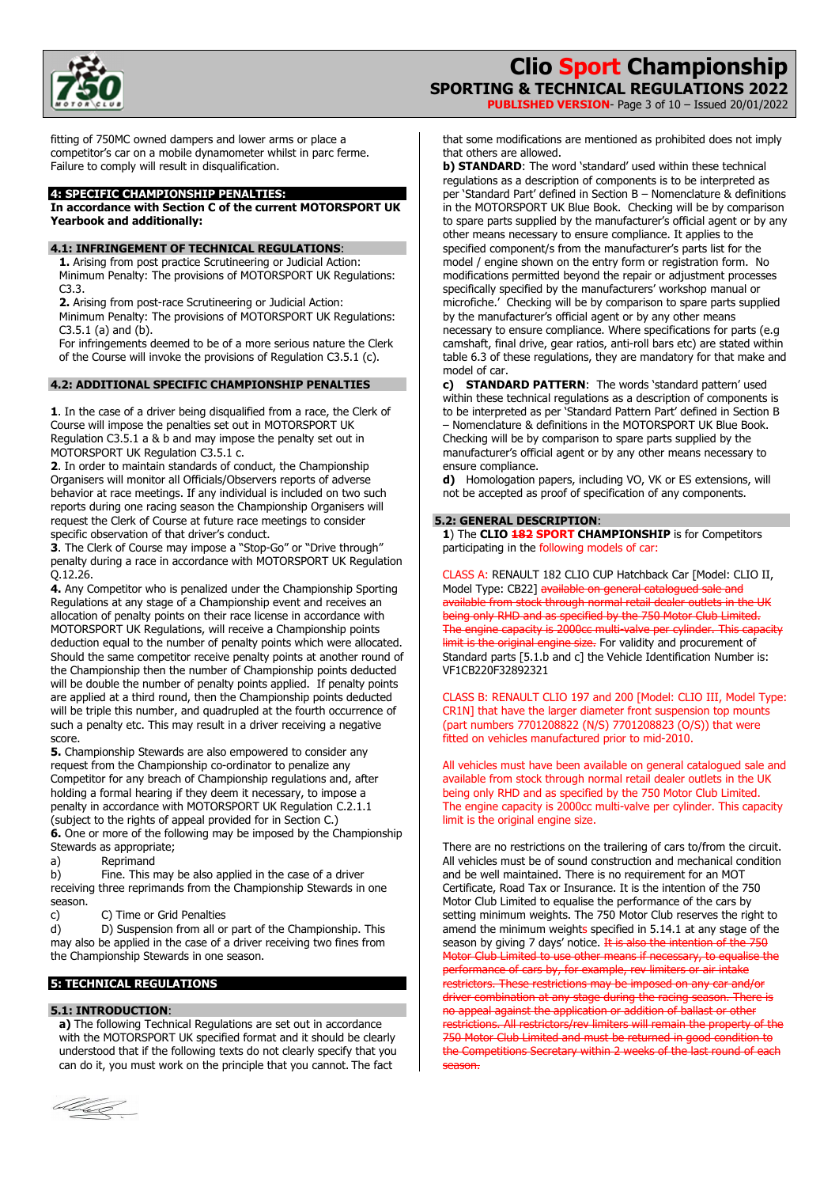

**PUBLISHED VERSION**- Page 3 of 10 – Issued 20/01/2022

fitting of 750MC owned dampers and lower arms or place a competitor's car on a mobile dynamometer whilst in parc ferme. Failure to comply will result in disqualification.

#### **4: SPECIFIC CHAMPIONSHIP PENALTIES:**

**In accordance with Section C of the current MOTORSPORT UK Yearbook and additionally:** 

#### **4.1: INFRINGEMENT OF TECHNICAL REGULATIONS**:

**1.** Arising from post practice Scrutineering or Judicial Action: Minimum Penalty: The provisions of MOTORSPORT UK Regulations: C3.3.

**2.** Arising from post-race Scrutineering or Judicial Action:

Minimum Penalty: The provisions of MOTORSPORT UK Regulations: C3.5.1 (a) and (b).

For infringements deemed to be of a more serious nature the Clerk of the Course will invoke the provisions of Regulation C3.5.1 (c).

#### **4.2: ADDITIONAL SPECIFIC CHAMPIONSHIP PENALTIES**

**1**. In the case of a driver being disqualified from a race, the Clerk of Course will impose the penalties set out in MOTORSPORT UK Regulation C3.5.1 a & b and may impose the penalty set out in MOTORSPORT UK Regulation C3.5.1 c.

**2**. In order to maintain standards of conduct, the Championship Organisers will monitor all Officials/Observers reports of adverse behavior at race meetings. If any individual is included on two such reports during one racing season the Championship Organisers will request the Clerk of Course at future race meetings to consider specific observation of that driver's conduct.

**3**. The Clerk of Course may impose a "Stop-Go" or "Drive through" penalty during a race in accordance with MOTORSPORT UK Regulation Q.12.26.

**4.** Any Competitor who is penalized under the Championship Sporting Regulations at any stage of a Championship event and receives an allocation of penalty points on their race license in accordance with MOTORSPORT UK Regulations, will receive a Championship points deduction equal to the number of penalty points which were allocated. Should the same competitor receive penalty points at another round of the Championship then the number of Championship points deducted will be double the number of penalty points applied. If penalty points are applied at a third round, then the Championship points deducted will be triple this number, and quadrupled at the fourth occurrence of such a penalty etc. This may result in a driver receiving a negative score.

**5.** Championship Stewards are also empowered to consider any request from the Championship co-ordinator to penalize any Competitor for any breach of Championship regulations and, after holding a formal hearing if they deem it necessary, to impose a penalty in accordance with MOTORSPORT UK Regulation C.2.1.1 (subject to the rights of appeal provided for in Section C.) **6.** One or more of the following may be imposed by the Championship Stewards as appropriate;

a) Reprimand

b) Fine. This may be also applied in the case of a driver receiving three reprimands from the Championship Stewards in one season.

c) C) Time or Grid Penalties

d) D) Suspension from all or part of the Championship. This may also be applied in the case of a driver receiving two fines from the Championship Stewards in one season.

## **5: TECHNICAL REGULATIONS**

#### **5.1: INTRODUCTION**:

**a)** The following Technical Regulations are set out in accordance with the MOTORSPORT UK specified format and it should be clearly understood that if the following texts do not clearly specify that you can do it, you must work on the principle that you cannot. The fact

black

that some modifications are mentioned as prohibited does not imply that others are allowed.

**b) STANDARD:** The word 'standard' used within these technical regulations as a description of components is to be interpreted as per 'Standard Part' defined in Section B – Nomenclature & definitions in the MOTORSPORT UK Blue Book. Checking will be by comparison to spare parts supplied by the manufacturer's official agent or by any other means necessary to ensure compliance. It applies to the specified component/s from the manufacturer's parts list for the model / engine shown on the entry form or registration form. No modifications permitted beyond the repair or adjustment processes specifically specified by the manufacturers' workshop manual or microfiche.' Checking will be by comparison to spare parts supplied by the manufacturer's official agent or by any other means necessary to ensure compliance. Where specifications for parts (e.g camshaft, final drive, gear ratios, anti-roll bars etc) are stated within table 6.3 of these regulations, they are mandatory for that make and model of car.

**c) STANDARD PATTERN**: The words 'standard pattern' used within these technical regulations as a description of components is to be interpreted as per 'Standard Pattern Part' defined in Section B – Nomenclature & definitions in the MOTORSPORT UK Blue Book. Checking will be by comparison to spare parts supplied by the manufacturer's official agent or by any other means necessary to ensure compliance.

**d)** Homologation papers, including VO, VK or ES extensions, will not be accepted as proof of specification of any components.

#### **5.2: GENERAL DESCRIPTION**:

**1**) The **CLIO 182 SPORT CHAMPIONSHIP** is for Competitors participating in the following models of car:

CLASS A: RENAULT 182 CLIO CUP Hatchback Car [Model: CLIO II, Model Type: CB22] available on general catalogued sale and available from stock through normal retail dealer outlets in the UK being only RHD and as specified by the 750 Motor Club Limited. The engine capacity is 2000cc multi-valve per cylinder. This capacity limit is the original engine size. For validity and procurement of Standard parts [5.1.b and c] the Vehicle Identification Number is: VF1CB220F32892321

CLASS B: RENAULT CLIO 197 and 200 [Model: CLIO III, Model Type: CR1N] that have the larger diameter front suspension top mounts (part numbers 7701208822 (N/S) 7701208823 (O/S)) that were fitted on vehicles manufactured prior to mid-2010.

All vehicles must have been available on general catalogued sale and available from stock through normal retail dealer outlets in the UK being only RHD and as specified by the 750 Motor Club Limited. The engine capacity is 2000cc multi-valve per cylinder. This capacity limit is the original engine size.

There are no restrictions on the trailering of cars to/from the circuit. All vehicles must be of sound construction and mechanical condition and be well maintained. There is no requirement for an MOT Certificate, Road Tax or Insurance. It is the intention of the 750 Motor Club Limited to equalise the performance of the cars by setting minimum weights. The 750 Motor Club reserves the right to amend the minimum weights specified in 5.14.1 at any stage of the season by giving 7 days' notice. It is also the intention of the 750 Motor Club Limited to use other means if necessary, to equalise the performance of cars by, for example, rev limiters or air intake trictors. These restrictions may be imposed on any car and/or driver combination at any stage during the racing season. There is no appeal against the application or addition of ballast or other restrictions. All restrictors/rev limiters will remain the property of the 750 Motor Club Limited and must be returned in good condition to the Competitions Secretary within 2 weeks of the last round of each season.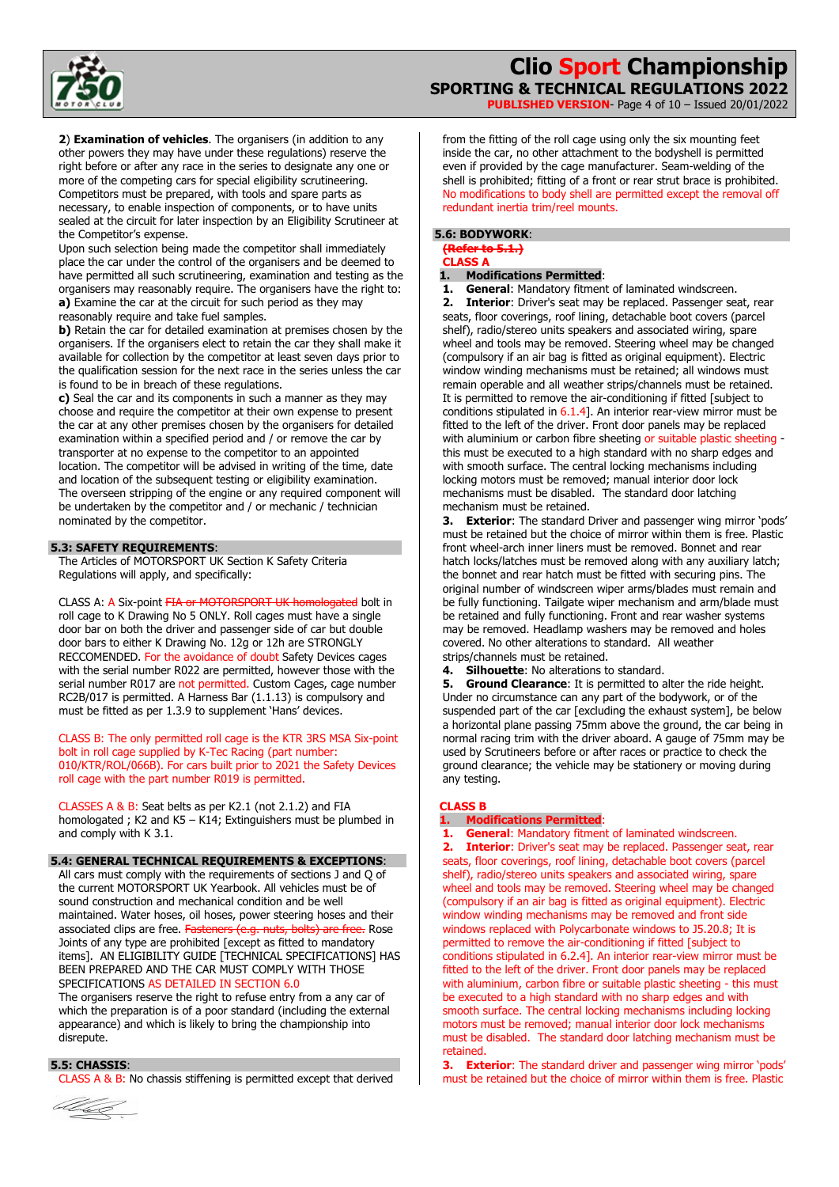

**PUBLISHED VERSION**- Page 4 of 10 – Issued 20/01/2022

**2**) **Examination of vehicles**. The organisers (in addition to any other powers they may have under these regulations) reserve the right before or after any race in the series to designate any one or more of the competing cars for special eligibility scrutineering. Competitors must be prepared, with tools and spare parts as necessary, to enable inspection of components, or to have units sealed at the circuit for later inspection by an Eligibility Scrutineer at the Competitor's expense.

Upon such selection being made the competitor shall immediately place the car under the control of the organisers and be deemed to have permitted all such scrutineering, examination and testing as the organisers may reasonably require. The organisers have the right to: **a)** Examine the car at the circuit for such period as they may reasonably require and take fuel samples.

**b)** Retain the car for detailed examination at premises chosen by the organisers. If the organisers elect to retain the car they shall make it available for collection by the competitor at least seven days prior to the qualification session for the next race in the series unless the car is found to be in breach of these regulations.

**c)** Seal the car and its components in such a manner as they may choose and require the competitor at their own expense to present the car at any other premises chosen by the organisers for detailed examination within a specified period and / or remove the car by transporter at no expense to the competitor to an appointed location. The competitor will be advised in writing of the time, date and location of the subsequent testing or eligibility examination. The overseen stripping of the engine or any required component will be undertaken by the competitor and / or mechanic / technician nominated by the competitor.

### **5.3: SAFETY REQUIREMENTS**:

The Articles of MOTORSPORT UK Section K Safety Criteria Regulations will apply, and specifically:

CLASS A: A Six-point FIA or MOTORSPORT UK homologated bolt in roll cage to K Drawing No 5 ONLY. Roll cages must have a single door bar on both the driver and passenger side of car but double door bars to either K Drawing No. 12g or 12h are STRONGLY RECCOMENDED. For the avoidance of doubt Safety Devices cages with the serial number R022 are permitted, however those with the serial number R017 are not permitted. Custom Cages, cage number RC2B/017 is permitted. A Harness Bar (1.1.13) is compulsory and must be fitted as per 1.3.9 to supplement 'Hans' devices.

CLASS B: The only permitted roll cage is the KTR 3RS MSA Six-point bolt in roll cage supplied by K-Tec Racing (part number: 010/KTR/ROL/066B). For cars built prior to 2021 the Safety Devices roll cage with the part number R019 is permitted.

CLASSES A & B: Seat belts as per K2.1 (not 2.1.2) and FIA homologated ; K2 and K5 – K14; Extinguishers must be plumbed in and comply with K 3.1.

## **5.4: GENERAL TECHNICAL REQUIREMENTS & EXCEPTIONS**:

All cars must comply with the requirements of sections J and Q of the current MOTORSPORT UK Yearbook. All vehicles must be of sound construction and mechanical condition and be well maintained. Water hoses, oil hoses, power steering hoses and their associated clips are free. Fasteners (e.g. nuts, bolts) are free. Rose Joints of any type are prohibited [except as fitted to mandatory items]. AN ELIGIBILITY GUIDE [TECHNICAL SPECIFICATIONS] HAS BEEN PREPARED AND THE CAR MUST COMPLY WITH THOSE SPECIFICATIONS AS DETAILED IN SECTION 6.0

The organisers reserve the right to refuse entry from a any car of which the preparation is of a poor standard (including the external appearance) and which is likely to bring the championship into disrepute.

#### **5.5: CHASSIS**:

CLASS A & B: No chassis stiffening is permitted except that derived



from the fitting of the roll cage using only the six mounting feet inside the car, no other attachment to the bodyshell is permitted even if provided by the cage manufacturer. Seam-welding of the shell is prohibited; fitting of a front or rear strut brace is prohibited. No modifications to body shell are permitted except the removal off redundant inertia trim/reel mounts.

## **5.6: BODYWORK**:

**(Refer to 5.1.) CLASS A**

#### **1. Modifications Permitted**:

**1. General**: Mandatory fitment of laminated windscreen. **2. Interior**: Driver's seat may be replaced. Passenger seat, rear seats, floor coverings, roof lining, detachable boot covers (parcel shelf), radio/stereo units speakers and associated wiring, spare wheel and tools may be removed. Steering wheel may be changed (compulsory if an air bag is fitted as original equipment). Electric window winding mechanisms must be retained; all windows must remain operable and all weather strips/channels must be retained. It is permitted to remove the air-conditioning if fitted [subject to conditions stipulated in 6.1.4]. An interior rear-view mirror must be fitted to the left of the driver. Front door panels may be replaced with aluminium or carbon fibre sheeting or suitable plastic sheeting this must be executed to a high standard with no sharp edges and with smooth surface. The central locking mechanisms including locking motors must be removed; manual interior door lock mechanisms must be disabled. The standard door latching mechanism must be retained.

**3. Exterior**: The standard Driver and passenger wing mirror 'pods' must be retained but the choice of mirror within them is free. Plastic front wheel-arch inner liners must be removed. Bonnet and rear hatch locks/latches must be removed along with any auxiliary latch; the bonnet and rear hatch must be fitted with securing pins. The original number of windscreen wiper arms/blades must remain and be fully functioning. Tailgate wiper mechanism and arm/blade must be retained and fully functioning. Front and rear washer systems may be removed. Headlamp washers may be removed and holes covered. No other alterations to standard. All weather strips/channels must be retained.

**4. Silhouette**: No alterations to standard.

**5. Ground Clearance**: It is permitted to alter the ride height. Under no circumstance can any part of the bodywork, or of the suspended part of the car [excluding the exhaust system], be below a horizontal plane passing 75mm above the ground, the car being in normal racing trim with the driver aboard. A gauge of 75mm may be used by Scrutineers before or after races or practice to check the ground clearance; the vehicle may be stationery or moving during any testing.

#### **CLASS B**

## **1. Modifications Permitted**:

**1. General**: Mandatory fitment of laminated windscreen. **2. Interior**: Driver's seat may be replaced. Passenger seat, rear seats, floor coverings, roof lining, detachable boot covers (parcel shelf), radio/stereo units speakers and associated wiring, spare wheel and tools may be removed. Steering wheel may be changed (compulsory if an air bag is fitted as original equipment). Electric window winding mechanisms may be removed and front side windows replaced with Polycarbonate windows to J5.20.8; It is permitted to remove the air-conditioning if fitted [subject to conditions stipulated in 6.2.4]. An interior rear-view mirror must be fitted to the left of the driver. Front door panels may be replaced with aluminium, carbon fibre or suitable plastic sheeting - this must be executed to a high standard with no sharp edges and with smooth surface. The central locking mechanisms including locking motors must be removed; manual interior door lock mechanisms must be disabled. The standard door latching mechanism must be retained.

**3. Exterior**: The standard driver and passenger wing mirror 'pods' must be retained but the choice of mirror within them is free. Plastic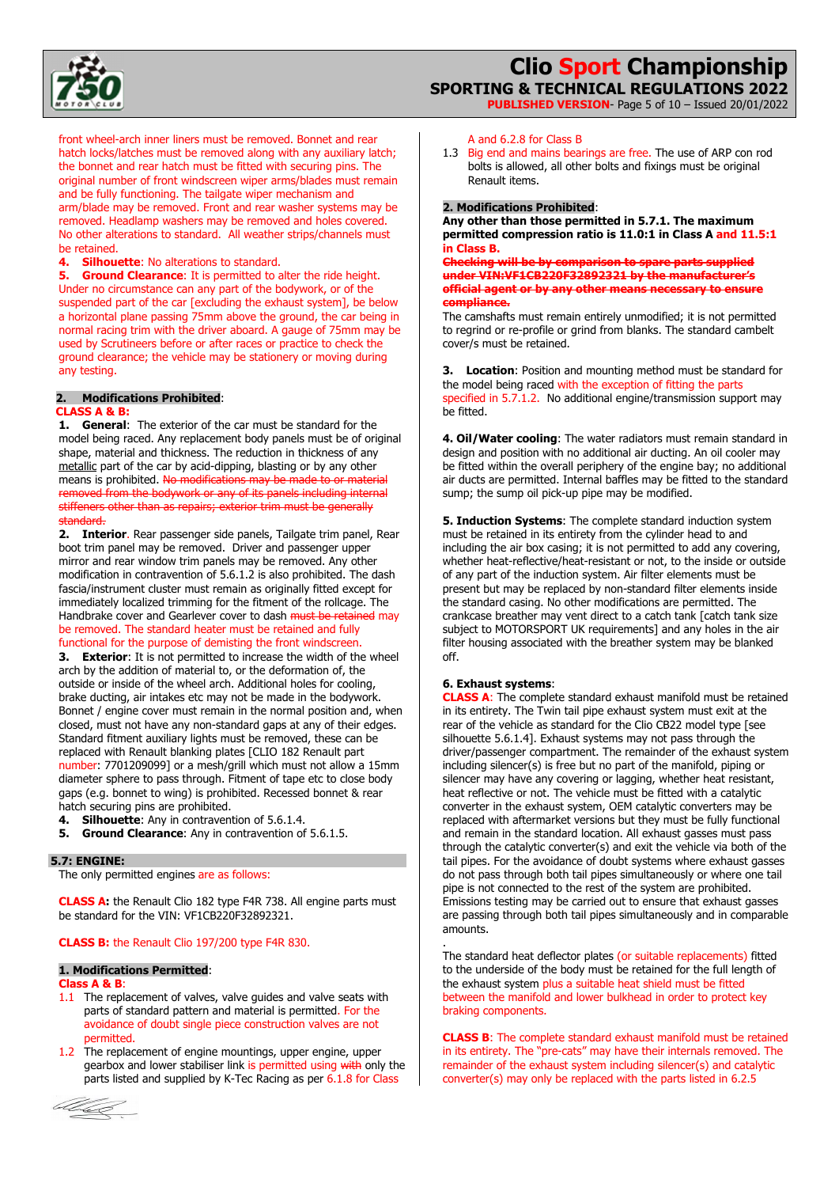

**PUBLISHED VERSION**- Page 5 of 10 – Issued 20/01/2022

front wheel-arch inner liners must be removed. Bonnet and rear hatch locks/latches must be removed along with any auxiliary latch; the bonnet and rear hatch must be fitted with securing pins. The original number of front windscreen wiper arms/blades must remain and be fully functioning. The tailgate wiper mechanism and arm/blade may be removed. Front and rear washer systems may be removed. Headlamp washers may be removed and holes covered. No other alterations to standard. All weather strips/channels must be retained.

**4. Silhouette**: No alterations to standard.

**5.** Ground Clearance: It is permitted to alter the ride height. Under no circumstance can any part of the bodywork, or of the suspended part of the car [excluding the exhaust system], be below a horizontal plane passing 75mm above the ground, the car being in normal racing trim with the driver aboard. A gauge of 75mm may be used by Scrutineers before or after races or practice to check the ground clearance; the vehicle may be stationery or moving during any testing.

#### **2. Modifications Prohibited**: **CLASS A & B:**

**1. General**: The exterior of the car must be standard for the model being raced. Any replacement body panels must be of original shape, material and thickness. The reduction in thickness of any metallic part of the car by acid-dipping, blasting or by any other means is prohibited. No modifications may be made to or material removed from the bodywork or any of its panels including internal stiffeners other than as repairs; exterior trim must be generally standard.

**2. Interior**. Rear passenger side panels, Tailgate trim panel, Rear boot trim panel may be removed. Driver and passenger upper mirror and rear window trim panels may be removed. Any other modification in contravention of 5.6.1.2 is also prohibited. The dash fascia/instrument cluster must remain as originally fitted except for immediately localized trimming for the fitment of the rollcage. The Handbrake cover and Gearlever cover to dash must be retained may be removed. The standard heater must be retained and fully functional for the purpose of demisting the front windscreen.

**3. Exterior**: It is not permitted to increase the width of the wheel arch by the addition of material to, or the deformation of, the outside or inside of the wheel arch. Additional holes for cooling, brake ducting, air intakes etc may not be made in the bodywork. Bonnet / engine cover must remain in the normal position and, when closed, must not have any non-standard gaps at any of their edges. Standard fitment auxiliary lights must be removed, these can be replaced with Renault blanking plates [CLIO 182 Renault part number: 7701209099] or a mesh/grill which must not allow a 15mm diameter sphere to pass through. Fitment of tape etc to close body gaps (e.g. bonnet to wing) is prohibited. Recessed bonnet & rear hatch securing pins are prohibited.

**4. Silhouette**: Any in contravention of 5.6.1.4.

**5. Ground Clearance**: Any in contravention of 5.6.1.5.

#### **5.7: ENGINE:**

The only permitted engines are as follows:

**CLASS A:** the Renault Clio 182 type F4R 738. All engine parts must be standard for the VIN: VF1CB220F32892321.

#### **CLASS B:** the Renault Clio 197/200 type F4R 830.

## **1. Modifications Permitted**:

### **Class A & B**:

- 1.1 The replacement of valves, valve guides and valve seats with parts of standard pattern and material is permitted. For the avoidance of doubt single piece construction valves are not permitted.
- 1.2 The replacement of engine mountings, upper engine, upper gearbox and lower stabiliser link is permitted using with only the parts listed and supplied by K-Tec Racing as per 6.1.8 for Class



## A and 6.2.8 for Class B

1.3 Big end and mains bearings are free. The use of ARP con rod bolts is allowed, all other bolts and fixings must be original Renault items.

#### **2. Modifications Prohibited**:

**Any other than those permitted in 5.7.1. The maximum permitted compression ratio is 11.0:1 in Class A and 11.5:1 in Class B.** 

**Checking will be by comparison to spare parts supplied under VIN:VF1CB220F32892321 by the manufacturer's official agent or by any other means necessary to ensure compliance.** 

The camshafts must remain entirely unmodified; it is not permitted to regrind or re-profile or grind from blanks. The standard cambelt cover/s must be retained.

**3. Location**: Position and mounting method must be standard for the model being raced with the exception of fitting the parts specified in 5.7.1.2. No additional engine/transmission support may be fitted.

**4. Oil/Water cooling**: The water radiators must remain standard in design and position with no additional air ducting. An oil cooler may be fitted within the overall periphery of the engine bay; no additional air ducts are permitted. Internal baffles may be fitted to the standard sump; the sump oil pick-up pipe may be modified.

**5. Induction Systems**: The complete standard induction system must be retained in its entirety from the cylinder head to and including the air box casing; it is not permitted to add any covering, whether heat-reflective/heat-resistant or not, to the inside or outside of any part of the induction system. Air filter elements must be present but may be replaced by non-standard filter elements inside the standard casing. No other modifications are permitted. The crankcase breather may vent direct to a catch tank [catch tank size subject to MOTORSPORT UK requirements] and any holes in the air filter housing associated with the breather system may be blanked off.

#### **6. Exhaust systems**:

.

**CLASS A**: The complete standard exhaust manifold must be retained in its entirety. The Twin tail pipe exhaust system must exit at the rear of the vehicle as standard for the Clio CB22 model type [see silhouette 5.6.1.4]. Exhaust systems may not pass through the driver/passenger compartment. The remainder of the exhaust system including silencer(s) is free but no part of the manifold, piping or silencer may have any covering or lagging, whether heat resistant, heat reflective or not. The vehicle must be fitted with a catalytic converter in the exhaust system, OEM catalytic converters may be replaced with aftermarket versions but they must be fully functional and remain in the standard location. All exhaust gasses must pass through the catalytic converter(s) and exit the vehicle via both of the tail pipes. For the avoidance of doubt systems where exhaust gasses do not pass through both tail pipes simultaneously or where one tail pipe is not connected to the rest of the system are prohibited. Emissions testing may be carried out to ensure that exhaust gasses are passing through both tail pipes simultaneously and in comparable amounts.

The standard heat deflector plates (or suitable replacements) fitted to the underside of the body must be retained for the full length of the exhaust system plus a suitable heat shield must be fitted between the manifold and lower bulkhead in order to protect key braking components.

**CLASS B**: The complete standard exhaust manifold must be retained in its entirety. The "pre-cats" may have their internals removed. The remainder of the exhaust system including silencer(s) and catalytic converter(s) may only be replaced with the parts listed in 6.2.5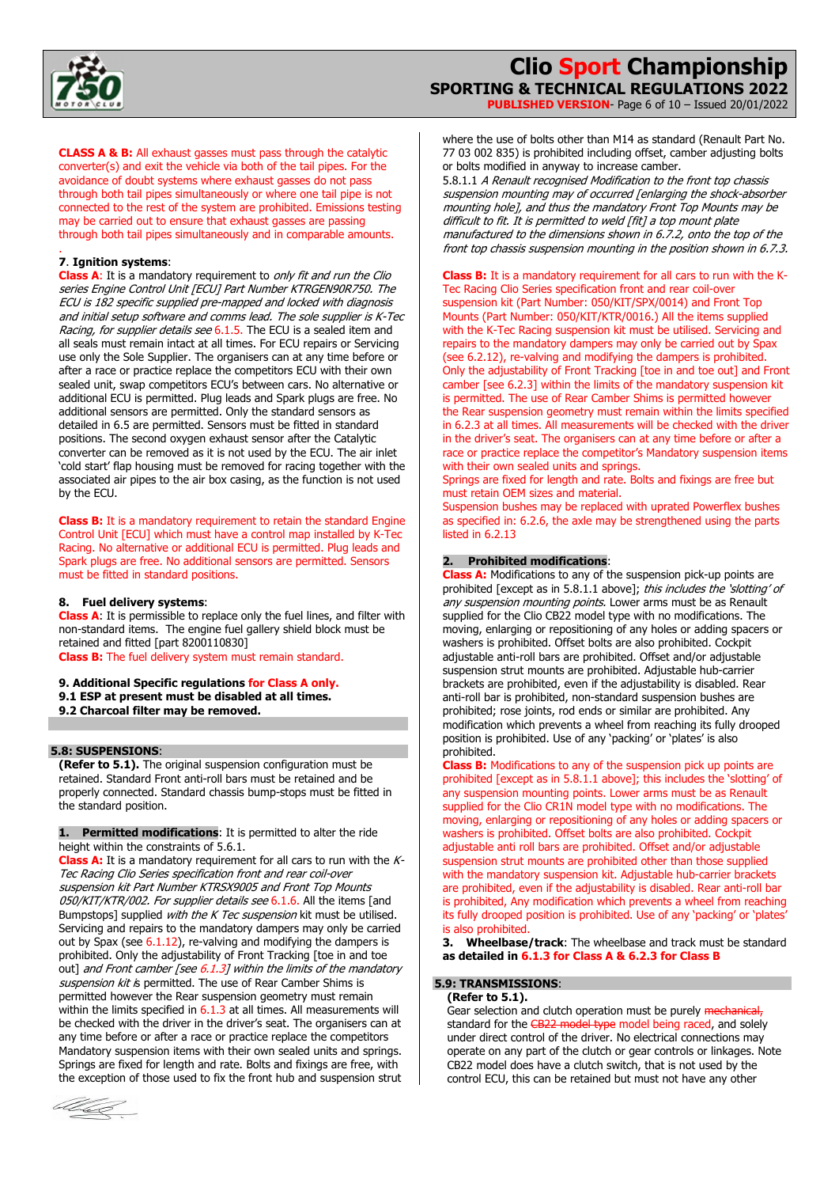

**PUBLISHED VERSION**- Page 6 of 10 – Issued 20/01/2022

**CLASS A & B:** All exhaust gasses must pass through the catalytic converter(s) and exit the vehicle via both of the tail pipes. For the avoidance of doubt systems where exhaust gasses do not pass through both tail pipes simultaneously or where one tail pipe is not connected to the rest of the system are prohibited. Emissions testing may be carried out to ensure that exhaust gasses are passing through both tail pipes simultaneously and in comparable amounts.

#### . **7**. **Ignition systems**:

**Class A:** It is a mandatory requirement to only fit and run the Clio series Engine Control Unit [ECU] Part Number KTRGEN90R750. The ECU is 182 specific supplied pre-mapped and locked with diagnosis and initial setup software and comms lead. The sole supplier is K-Tec Racing, for supplier details see 6.1.5. The ECU is a sealed item and all seals must remain intact at all times. For ECU repairs or Servicing use only the Sole Supplier. The organisers can at any time before or after a race or practice replace the competitors ECU with their own sealed unit, swap competitors ECU's between cars. No alternative or additional ECU is permitted. Plug leads and Spark plugs are free. No additional sensors are permitted. Only the standard sensors as detailed in 6.5 are permitted. Sensors must be fitted in standard positions. The second oxygen exhaust sensor after the Catalytic converter can be removed as it is not used by the ECU. The air inlet 'cold start' flap housing must be removed for racing together with the associated air pipes to the air box casing, as the function is not used by the ECU.

**Class B:** It is a mandatory requirement to retain the standard Engine Control Unit [ECU] which must have a control map installed by K-Tec Racing. No alternative or additional ECU is permitted. Plug leads and Spark plugs are free. No additional sensors are permitted. Sensors must be fitted in standard positions.

#### **8. Fuel delivery systems**:

**Class A**: It is permissible to replace only the fuel lines, and filter with non-standard items. The engine fuel gallery shield block must be retained and fitted [part 8200110830] **Class B:** The fuel delivery system must remain standard.

- **9. Additional Specific regulations for Class A only.**
- **9.1 ESP at present must be disabled at all times.**
- **9.2 Charcoal filter may be removed.**

## **5.8: SUSPENSIONS**:

**(Refer to 5.1).** The original suspension configuration must be retained. Standard Front anti-roll bars must be retained and be properly connected. Standard chassis bump-stops must be fitted in the standard position.

**1. Permitted modifications**: It is permitted to alter the ride height within the constraints of 5.6.1.

**Class A:** It is a mandatory requirement for all cars to run with the K-Tec Racing Clio Series specification front and rear coil-over suspension kit Part Number KTRSX9005 and Front Top Mounts 050/KIT/KTR/002. For supplier details see 6.1.6. All the items [and Bumpstops] supplied *with the K Tec suspension* kit must be utilised. Servicing and repairs to the mandatory dampers may only be carried out by Spax (see 6.1.12), re-valving and modifying the dampers is prohibited. Only the adjustability of Front Tracking [toe in and toe out] and Front camber [see  $6.1.3$ ] within the limits of the mandatory suspension kit is permitted. The use of Rear Camber Shims is permitted however the Rear suspension geometry must remain within the limits specified in  $6.1.3$  at all times. All measurements will be checked with the driver in the driver's seat. The organisers can at any time before or after a race or practice replace the competitors Mandatory suspension items with their own sealed units and springs. Springs are fixed for length and rate. Bolts and fixings are free, with the exception of those used to fix the front hub and suspension strut



where the use of bolts other than M14 as standard (Renault Part No. 77 03 002 835) is prohibited including offset, camber adjusting bolts or bolts modified in anyway to increase camber.

5.8.1.1 A Renault recognised Modification to the front top chassis suspension mounting may of occurred [enlarging the shock-absorber mounting hole], and thus the mandatory Front Top Mounts may be difficult to fit. It is permitted to weld [fit] a top mount plate manufactured to the dimensions shown in 6.7.2, onto the top of the front top chassis suspension mounting in the position shown in 6.7.3.

**Class B:** It is a mandatory requirement for all cars to run with the K-Tec Racing Clio Series specification front and rear coil-over suspension kit (Part Number: 050/KIT/SPX/0014) and Front Top Mounts (Part Number: 050/KIT/KTR/0016.) All the items supplied with the K-Tec Racing suspension kit must be utilised. Servicing and repairs to the mandatory dampers may only be carried out by Spax (see 6.2.12), re-valving and modifying the dampers is prohibited. Only the adjustability of Front Tracking [toe in and toe out] and Front camber [see 6.2.3] within the limits of the mandatory suspension kit is permitted. The use of Rear Camber Shims is permitted however the Rear suspension geometry must remain within the limits specified in 6.2.3 at all times. All measurements will be checked with the driver in the driver's seat. The organisers can at any time before or after a race or practice replace the competitor's Mandatory suspension items

with their own sealed units and springs. Springs are fixed for length and rate. Bolts and fixings are free but must retain OEM sizes and material.

Suspension bushes may be replaced with uprated Powerflex bushes as specified in: 6.2.6, the axle may be strengthened using the parts listed in 6.2.13

#### **2. Prohibited modifications**:

**Class A:** Modifications to any of the suspension pick-up points are prohibited [except as in 5.8.1.1 above]; this includes the 'slotting' of any suspension mounting points. Lower arms must be as Renault supplied for the Clio CB22 model type with no modifications. The moving, enlarging or repositioning of any holes or adding spacers or washers is prohibited. Offset bolts are also prohibited. Cockpit adjustable anti-roll bars are prohibited. Offset and/or adjustable suspension strut mounts are prohibited. Adjustable hub-carrier brackets are prohibited, even if the adjustability is disabled. Rear anti-roll bar is prohibited, non-standard suspension bushes are prohibited; rose joints, rod ends or similar are prohibited. Any modification which prevents a wheel from reaching its fully drooped position is prohibited. Use of any 'packing' or 'plates' is also prohibited.

**Class B:** Modifications to any of the suspension pick up points are prohibited [except as in 5.8.1.1 above]; this includes the 'slotting' of any suspension mounting points. Lower arms must be as Renault supplied for the Clio CR1N model type with no modifications. The moving, enlarging or repositioning of any holes or adding spacers or washers is prohibited. Offset bolts are also prohibited. Cockpit adjustable anti roll bars are prohibited. Offset and/or adjustable suspension strut mounts are prohibited other than those supplied with the mandatory suspension kit. Adjustable hub-carrier brackets are prohibited, even if the adjustability is disabled. Rear anti-roll bar is prohibited, Any modification which prevents a wheel from reaching its fully drooped position is prohibited. Use of any 'packing' or 'plates' is also prohibited.

**3. Wheelbase/track**: The wheelbase and track must be standard **as detailed in 6.1.3 for Class A & 6.2.3 for Class B** 

## **5.9: TRANSMISSIONS**:

#### **(Refer to 5.1).**

Gear selection and clutch operation must be purely mechanical standard for the CB22 model type model being raced, and solely under direct control of the driver. No electrical connections may operate on any part of the clutch or gear controls or linkages. Note CB22 model does have a clutch switch, that is not used by the control ECU, this can be retained but must not have any other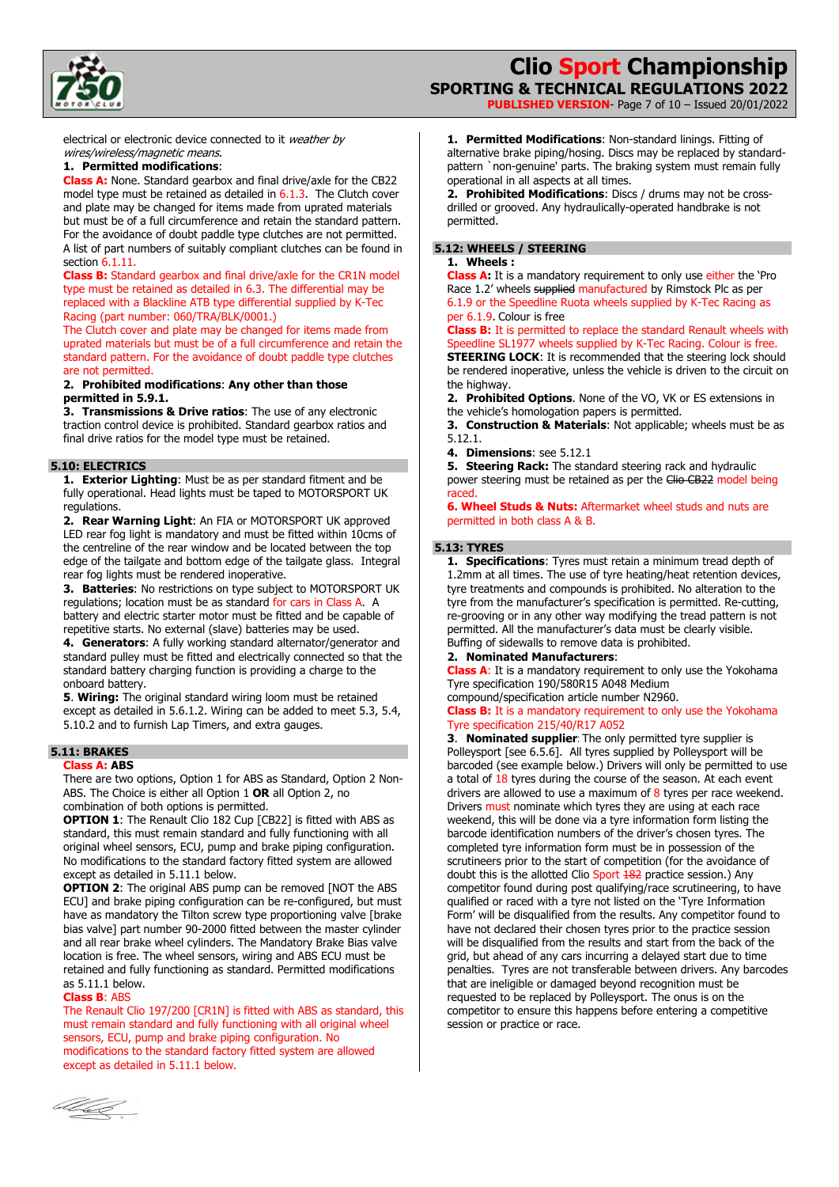

**PUBLISHED VERSION**- Page 7 of 10 – Issued 20/01/2022

electrical or electronic device connected to it weather by wires/wireless/magnetic means.

#### **1. Permitted modifications**:

**Class A:** None. Standard gearbox and final drive/axle for the CB22 model type must be retained as detailed in 6.1.3. The Clutch cover and plate may be changed for items made from uprated materials but must be of a full circumference and retain the standard pattern. For the avoidance of doubt paddle type clutches are not permitted. A list of part numbers of suitably compliant clutches can be found in section 6.1.11

**Class B:** Standard gearbox and final drive/axle for the CR1N model type must be retained as detailed in 6.3. The differential may be replaced with a Blackline ATB type differential supplied by K-Tec Racing (part number: 060/TRA/BLK/0001.)

The Clutch cover and plate may be changed for items made from uprated materials but must be of a full circumference and retain the standard pattern. For the avoidance of doubt paddle type clutches are not permitted.

#### **2. Prohibited modifications**: **Any other than those permitted in 5.9.1.**

**3. Transmissions & Drive ratios**: The use of any electronic traction control device is prohibited. Standard gearbox ratios and final drive ratios for the model type must be retained.

#### **5.10: ELECTRICS**

**1. Exterior Lighting**: Must be as per standard fitment and be fully operational. Head lights must be taped to MOTORSPORT UK regulations.

**2. Rear Warning Light**: An FIA or MOTORSPORT UK approved LED rear fog light is mandatory and must be fitted within 10cms of the centreline of the rear window and be located between the top edge of the tailgate and bottom edge of the tailgate glass. Integral rear fog lights must be rendered inoperative.

**3. Batteries**: No restrictions on type subject to MOTORSPORT UK regulations; location must be as standard for cars in Class A. A battery and electric starter motor must be fitted and be capable of repetitive starts. No external (slave) batteries may be used.

**4. Generators**: A fully working standard alternator/generator and standard pulley must be fitted and electrically connected so that the standard battery charging function is providing a charge to the onboard battery.

**5**. **Wiring:** The original standard wiring loom must be retained except as detailed in 5.6.1.2. Wiring can be added to meet 5.3, 5.4, 5.10.2 and to furnish Lap Timers, and extra gauges.

#### **5.11: BRAKES Class A: ABS**

There are two options, Option 1 for ABS as Standard, Option 2 Non-ABS. The Choice is either all Option 1 **OR** all Option 2, no combination of both options is permitted.

**OPTION 1**: The Renault Clio 182 Cup [CB22] is fitted with ABS as standard, this must remain standard and fully functioning with all original wheel sensors, ECU, pump and brake piping configuration. No modifications to the standard factory fitted system are allowed except as detailed in 5.11.1 below.

**OPTION 2**: The original ABS pump can be removed [NOT the ABS ECU] and brake piping configuration can be re-configured, but must have as mandatory the Tilton screw type proportioning valve [brake bias valve] part number 90-2000 fitted between the master cylinder and all rear brake wheel cylinders. The Mandatory Brake Bias valve location is free. The wheel sensors, wiring and ABS ECU must be retained and fully functioning as standard. Permitted modifications as  $5.11.1$  below.

#### **Class B**: ABS

The Renault Clio 197/200 [CR1N] is fitted with ABS as standard, this must remain standard and fully functioning with all original wheel sensors, ECU, pump and brake piping configuration. No modifications to the standard factory fitted system are allowed except as detailed in 5.11.1 below.

**1. Permitted Modifications**: Non-standard linings. Fitting of alternative brake piping/hosing. Discs may be replaced by standardpattern `non-genuine' parts. The braking system must remain fully operational in all aspects at all times.

**2. Prohibited Modifications**: Discs / drums may not be crossdrilled or grooved. Any hydraulically-operated handbrake is not permitted.

#### **5.12: WHEELS / STEERING**

## **1. Wheels :**

**Class A:** It is a mandatory requirement to only use either the 'Pro Race 1.2' wheels supplied manufactured by Rimstock Plc as per 6.1.9 or the Speedline Ruota wheels supplied by K-Tec Racing as per 6.1.9. Colour is free

**Class B:** It is permitted to replace the standard Renault wheels with Speedline SL1977 wheels supplied by K-Tec Racing. Colour is free. **STEERING LOCK:** It is recommended that the steering lock should be rendered inoperative, unless the vehicle is driven to the circuit on the highway.

**2. Prohibited Options**. None of the VO, VK or ES extensions in the vehicle's homologation papers is permitted.

**3. Construction & Materials**: Not applicable; wheels must be as 5.12.1.

**4. Dimensions**: see 5.12.1

**5. Steering Rack:** The standard steering rack and hydraulic

power steering must be retained as per the Clio CB22 model being raced.

**6. Wheel Studs & Nuts:** Aftermarket wheel studs and nuts are permitted in both class A & B.

#### **5.13: TYRES**

**1. Specifications**: Tyres must retain a minimum tread depth of 1.2mm at all times. The use of tyre heating/heat retention devices, tyre treatments and compounds is prohibited. No alteration to the tyre from the manufacturer's specification is permitted. Re-cutting, re-grooving or in any other way modifying the tread pattern is not permitted. All the manufacturer's data must be clearly visible. Buffing of sidewalls to remove data is prohibited.

### **2. Nominated Manufacturers**:

**Class A**: It is a mandatory requirement to only use the Yokohama Tyre specification 190/580R15 A048 Medium

## compound/specification article number N2960.

**Class B:** It is a mandatory requirement to only use the Yokohama Tyre specification 215/40/R17 A052

**3**. **Nominated supplier**: The only permitted tyre supplier is Polleysport [see 6.5.6]. All tyres supplied by Polleysport will be barcoded (see example below.) Drivers will only be permitted to use a total of 18 tyres during the course of the season. At each event drivers are allowed to use a maximum of  $8$  tyres per race weekend. Drivers must nominate which tyres they are using at each race weekend, this will be done via a tyre information form listing the barcode identification numbers of the driver's chosen tyres. The completed tyre information form must be in possession of the scrutineers prior to the start of competition (for the avoidance of doubt this is the allotted Clio Sport 182 practice session.) Any competitor found during post qualifying/race scrutineering, to have qualified or raced with a tyre not listed on the 'Tyre Information Form' will be disqualified from the results. Any competitor found to have not declared their chosen tyres prior to the practice session will be disqualified from the results and start from the back of the grid, but ahead of any cars incurring a delayed start due to time penalties. Tyres are not transferable between drivers. Any barcodes that are ineligible or damaged beyond recognition must be requested to be replaced by Polleysport. The onus is on the competitor to ensure this happens before entering a competitive session or practice or race.

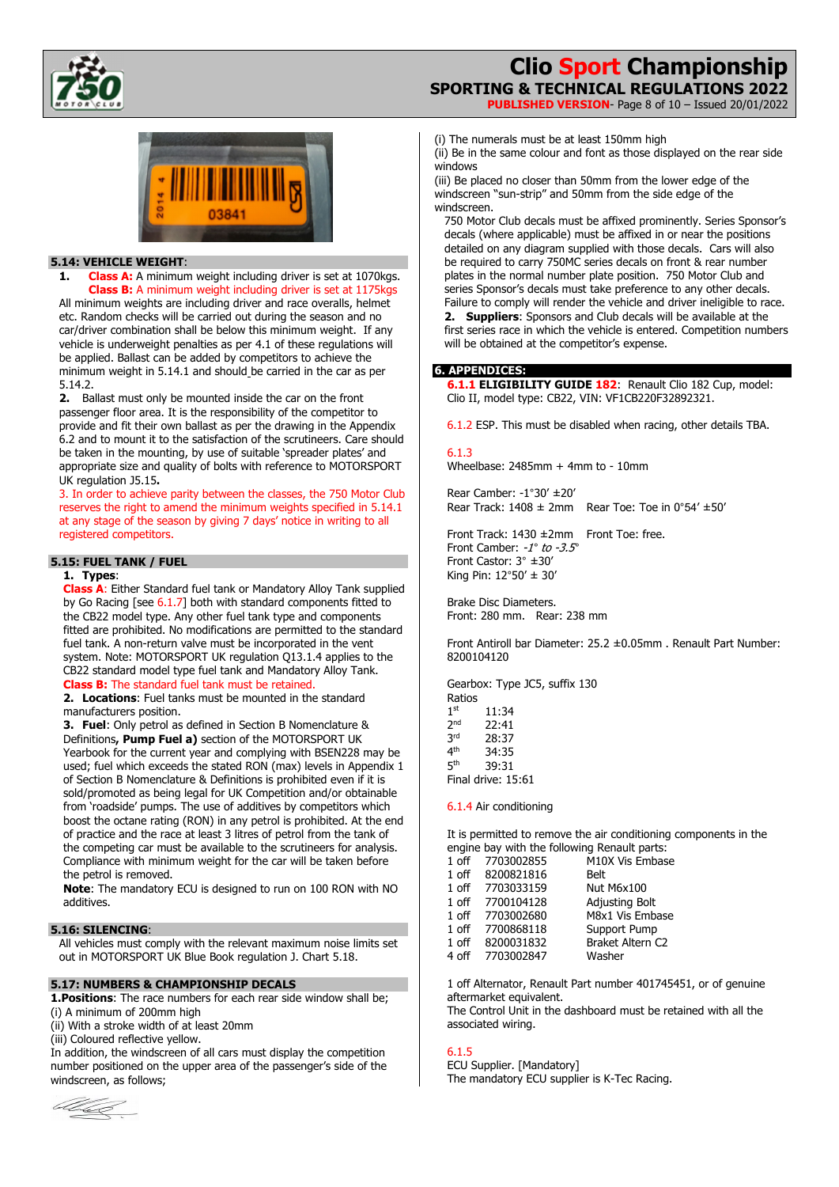

**PUBLISHED VERSION**- Page 8 of 10 – Issued 20/01/2022



## **5.14: VEHICLE WEIGHT**:

**1.** Class A: A minimum weight including driver is set at 1070kgs. **Class B:** A minimum weight including driver is set at 1175kgs

All minimum weights are including driver and race overalls, helmet etc. Random checks will be carried out during the season and no car/driver combination shall be below this minimum weight. If any vehicle is underweight penalties as per 4.1 of these regulations will be applied. Ballast can be added by competitors to achieve the minimum weight in 5.14.1 and should be carried in the car as per 5.14.2.

**2.** Ballast must only be mounted inside the car on the front passenger floor area. It is the responsibility of the competitor to provide and fit their own ballast as per the drawing in the Appendix 6.2 and to mount it to the satisfaction of the scrutineers. Care should be taken in the mounting, by use of suitable 'spreader plates' and appropriate size and quality of bolts with reference to MOTORSPORT UK regulation J5.15**.** 

3. In order to achieve parity between the classes, the 750 Motor Club reserves the right to amend the minimum weights specified in 5.14.1 at any stage of the season by giving 7 days' notice in writing to all registered competitors.

## **5.15: FUEL TANK / FUEL**

## **1. Types**:

**Class A**: Either Standard fuel tank or Mandatory Alloy Tank supplied by Go Racing [see 6.1.7] both with standard components fitted to the CB22 model type. Any other fuel tank type and components fitted are prohibited. No modifications are permitted to the standard fuel tank. A non-return valve must be incorporated in the vent system. Note: MOTORSPORT UK regulation Q13.1.4 applies to the CB22 standard model type fuel tank and Mandatory Alloy Tank. **Class B:** The standard fuel tank must be retained.

**2. Locations**: Fuel tanks must be mounted in the standard manufacturers position.

**3. Fuel**: Only petrol as defined in Section B Nomenclature & Definitions**, Pump Fuel a)** section of the MOTORSPORT UK Yearbook for the current year and complying with BSEN228 may be used; fuel which exceeds the stated RON (max) levels in Appendix 1 of Section B Nomenclature & Definitions is prohibited even if it is sold/promoted as being legal for UK Competition and/or obtainable from 'roadside' pumps. The use of additives by competitors which boost the octane rating (RON) in any petrol is prohibited. At the end of practice and the race at least 3 litres of petrol from the tank of the competing car must be available to the scrutineers for analysis. Compliance with minimum weight for the car will be taken before the petrol is removed.

**Note**: The mandatory ECU is designed to run on 100 RON with NO additives.

#### **5.16: SILENCING**:

All vehicles must comply with the relevant maximum noise limits set out in MOTORSPORT UK Blue Book regulation J. Chart 5.18.

#### **5.17: NUMBERS & CHAMPIONSHIP DECALS**

**1.Positions**: The race numbers for each rear side window shall be; (i) A minimum of 200mm high

(ii) With a stroke width of at least 20mm

(iii) Coloured reflective yellow.

In addition, the windscreen of all cars must display the competition number positioned on the upper area of the passenger's side of the windscreen, as follows;



(i) The numerals must be at least 150mm high

(ii) Be in the same colour and font as those displayed on the rear side windows

(iii) Be placed no closer than 50mm from the lower edge of the windscreen "sun-strip" and 50mm from the side edge of the windscreen.

750 Motor Club decals must be affixed prominently. Series Sponsor's decals (where applicable) must be affixed in or near the positions detailed on any diagram supplied with those decals. Cars will also be required to carry 750MC series decals on front & rear number plates in the normal number plate position. 750 Motor Club and series Sponsor's decals must take preference to any other decals. Failure to comply will render the vehicle and driver ineligible to race.

**2. Suppliers**: Sponsors and Club decals will be available at the first series race in which the vehicle is entered. Competition numbers will be obtained at the competitor's expense.

#### **6. APPENDICES:**

**6.1.1 ELIGIBILITY GUIDE 182**: Renault Clio 182 Cup, model: Clio II, model type: CB22, VIN: VF1CB220F32892321.

6.1.2 ESP. This must be disabled when racing, other details TBA.

#### 6.1.3

Wheelbase: 2485mm + 4mm to - 10mm

Rear Camber: -1°30' ±20' Rear Track:  $1408 \pm 2$ mm Rear Toe: Toe in  $0°54' \pm 50'$ 

Front Track: 1430 ±2mm Front Toe: free. Front Camber: -1*°* to -3.5*°* Front Castor: 3° ±30' King Pin: 12°50' ± 30'

Brake Disc Diameters. Front: 280 mm. Rear: 238 mm

Front Antiroll bar Diameter: 25.2 ±0.05mm . Renault Part Number: 8200104120

Gearbox: Type JC5, suffix 130 Ratios

 $1^{st}$  11:34<br> $2^{nd}$  22:41  $2^{nd}$  22:41<br> $3^{rd}$  28:37  $3^{\text{rd}}$  28:37<br>4<sup>th</sup> 34:35  $4<sup>th</sup>$  34:35<br> $5<sup>th</sup>$  39:31 5th 39:31 Final drive: 15:61

6.1.4 Air conditioning

It is permitted to remove the air conditioning components in the engine bay with the following Renault parts:

| 1 off   | 7703002855 | M10X Vis Embase         |
|---------|------------|-------------------------|
| $1$ off | 8200821816 | Belt                    |
| $1$ off | 7703033159 | <b>Nut M6x100</b>       |
| $1$ off | 7700104128 | Adjusting Bolt          |
| $1$ off | 7703002680 | M8x1 Vis Embase         |
| $1$ off | 7700868118 | Support Pump            |
| $1$ off | 8200031832 | <b>Braket Altern C2</b> |
| 4 off   | 7703002847 | Washer                  |
|         |            |                         |

1 off Alternator, Renault Part number 401745451, or of genuine aftermarket equivalent. The Control Unit in the dashboard must be retained with all the associated wiring.

### 6.1.5

ECU Supplier. [Mandatory] The mandatory ECU supplier is K-Tec Racing.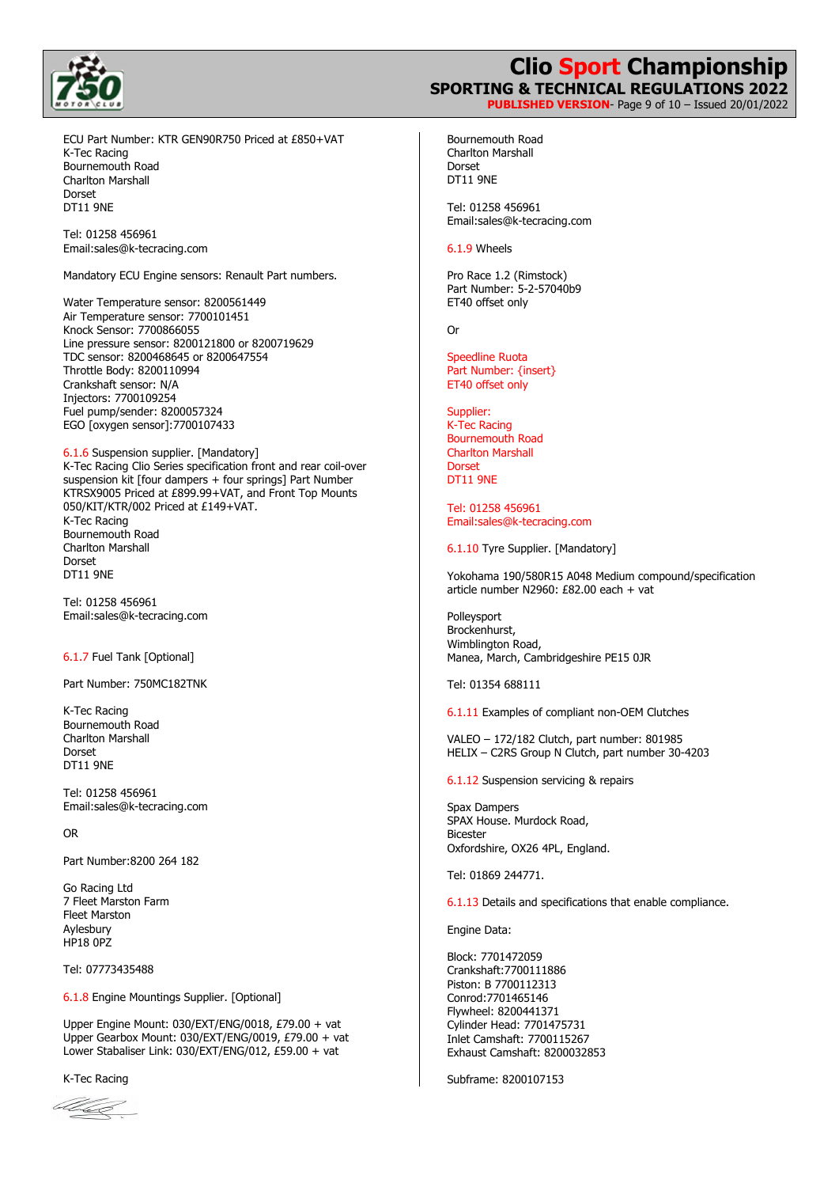

## **Clio Sport Championship SPORTING & TECHNICAL REGULATIONS 2022 PUBLISHED VERSION**- Page 9 of 10 – Issued 20/01/2022

ECU Part Number: KTR GEN90R750 Priced at £850+VAT K-Tec Racing Bournemouth Road Charlton Marshall Dorset DT11 9NE

Tel: 01258 456961 Email:sales@k-tecracing.com

Mandatory ECU Engine sensors: Renault Part numbers.

Water Temperature sensor: 8200561449 Air Temperature sensor: 7700101451 Knock Sensor: 7700866055 Line pressure sensor: 8200121800 or 8200719629 TDC sensor: 8200468645 or 8200647554 Throttle Body: 8200110994 Crankshaft sensor: N/A Injectors: 7700109254 Fuel pump/sender: 8200057324 EGO [oxygen sensor]:7700107433

6.1.6 Suspension supplier. [Mandatory] K-Tec Racing Clio Series specification front and rear coil-over suspension kit [four dampers + four springs] Part Number KTRSX9005 Priced at £899.99+VAT, and Front Top Mounts 050/KIT/KTR/002 Priced at £149+VAT. K-Tec Racing Bournemouth Road Charlton Marshall Dorset DT11 9NE

Tel: 01258 456961 Email:sales@k-tecracing.com

### 6.1.7 Fuel Tank [Optional]

Part Number: 750MC182TNK

K-Tec Racing Bournemouth Road Charlton Marshall Dorset DT11 9NE

Tel: 01258 456961 Email:sales@k-tecracing.com

OR

Part Number:8200 264 182

Go Racing Ltd 7 Fleet Marston Farm Fleet Marston Aylesbury HP18 0PZ

Tel: 07773435488

6.1.8 Engine Mountings Supplier. [Optional]

Upper Engine Mount: 030/EXT/ENG/0018, £79.00 + vat Upper Gearbox Mount: 030/EXT/ENG/0019, £79.00 + vat Lower Stabaliser Link: 030/EXT/ENG/012, £59.00 + vat

K-Tec Racing

blu<u>e</u>

Bournemouth Road Charlton Marshall Dorset DT11 9NE

Tel: 01258 456961 Email:sales@k-tecracing.com

6.1.9 Wheels

Pro Race 1.2 (Rimstock) Part Number: 5-2-57040b9 ET40 offset only

Or

Speedline Ruota Part Number: {insert} ET40 offset only

Supplier: K-Tec Racing Bournemouth Road Charlton Marshall Dorset DT11 9NE

Tel: 01258 456961 Email:sales@k-tecracing.com

6.1.10 Tyre Supplier. [Mandatory]

Yokohama 190/580R15 A048 Medium compound/specification article number N2960: £82.00 each + vat

Polleysport Brockenhurst, Wimblington Road, Manea, March, Cambridgeshire PE15 0JR

Tel: 01354 688111

6.1.11 Examples of compliant non-OEM Clutches

VALEO – 172/182 Clutch, part number: 801985 HELIX – C2RS Group N Clutch, part number 30-4203

6.1.12 Suspension servicing & repairs

Spax Dampers SPAX House. Murdock Road, Bicester Oxfordshire, OX26 4PL, England.

Tel: 01869 244771.

6.1.13 Details and specifications that enable compliance.

Engine Data:

Block: 7701472059 Crankshaft:7700111886 Piston: B 7700112313 Conrod:7701465146 Flywheel: 8200441371 Cylinder Head: 7701475731 Inlet Camshaft: 7700115267 Exhaust Camshaft: 8200032853

Subframe: 8200107153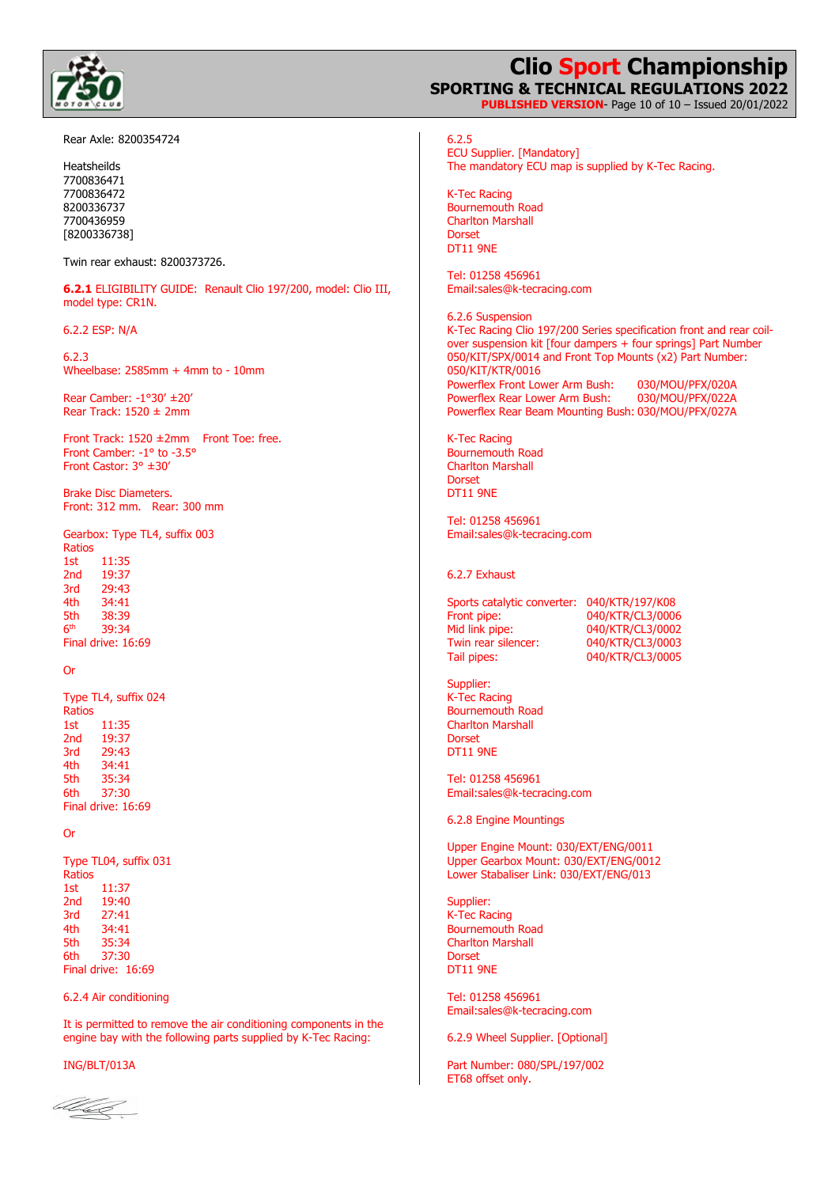

#### Rear Axle: 8200354724

Twin rear exhaust: 8200373726.

**6.2.1** ELIGIBILITY GUIDE: Renault Clio 197/200, model: Clio III, model type: CR1N.

6.2.2 ESP: N/A

6.2.3 Wheelbase: 2585mm + 4mm to - 10mm

Rear Camber: -1°30' ±20' Rear Track: 1520 ± 2mm

Front Track: 1520 ±2mm Front Toe: free. Front Camber: -1° to -3.5° Front Castor: 3° ±30'

Brake Disc Diameters. Front: 312 mm. Rear: 300 mm

Gearbox: Type TL4, suffix 003 Ratios 1st 11:35 2nd 19:37 3rd 29:43 4th 34:41 5th 38:39<br>6<sup>th</sup> 39:34

6th 39:34 Final drive: 16:69

#### Or

Type TL4, suffix 024 Ratios 1st 11:35 2nd 19:37 3rd 29:43<br>4th 34:41 4th 34:41<br>5th 35:34 35:34 6th 37:30 Final drive: 16:69

#### Or

Type TL04, suffix 031 Ratios 1st 11:37 2nd 19:40 3rd 27:41 4th 34:41 5th 35:34 6th 37:30 Final drive: 16:69

#### 6.2.4 Air conditioning

It is permitted to remove the air conditioning components in the engine bay with the following parts supplied by K-Tec Racing:

ING/BLT/013A

alle

**Clio Sport Championship SPORTING & TECHNICAL REGULATIONS 2022 PUBLISHED VERSION**- Page 10 of 10 – Issued 20/01/2022

6.2.5 ECU Supplier. [Mandatory] The mandatory ECU map is supplied by K-Tec Racing.

K-Tec Racing Bournemouth Road Charlton Marshall Dorset DT11 9NE

Tel: 01258 456961 Email:sales@k-tecracing.com

6.2.6 Suspension K-Tec Racing Clio 197/200 Series specification front and rear coilover suspension kit [four dampers + four springs] Part Number 050/KIT/SPX/0014 and Front Top Mounts (x2) Part Number: 050/KIT/KTR/0016 Powerflex Front Lower Arm Bush: 030/MOU/PFX/020A Powerflex Rear Lower Arm Bush: Powerflex Rear Beam Mounting Bush: 030/MOU/PFX/027A

K-Tec Racing Bournemouth Road Charlton Marshall Dorset DT11 9NE

Tel: 01258 456961 Email:sales@k-tecracing.com

6.2.7 Exhaust

Sports catalytic converter: 040/KTR/197/K08 Front pipe: 040/KTR/CL3/0006 Mid link pipe: 040/KTR/CL3/0002<br>Twin rear silencer: 040/KTR/CL3/0003 Twin rear silencer:<br>Tail pipes: 040/KTR/CL3/0005

Supplier: K-Tec Racing Bournemouth Road Charlton Marshall Dorset DT11 9NE

Tel: 01258 456961 Email:sales@k-tecracing.com

6.2.8 Engine Mountings

Upper Engine Mount: 030/EXT/ENG/0011 Upper Gearbox Mount: 030/EXT/ENG/0012 Lower Stabaliser Link: 030/EXT/ENG/013

Supplier: K-Tec Racing Bournemouth Road Charlton Marshall Dorset DT11 9NE

Tel: 01258 456961 Email:sales@k-tecracing.com

6.2.9 Wheel Supplier. [Optional]

Part Number: 080/SPL/197/002 ET68 offset only.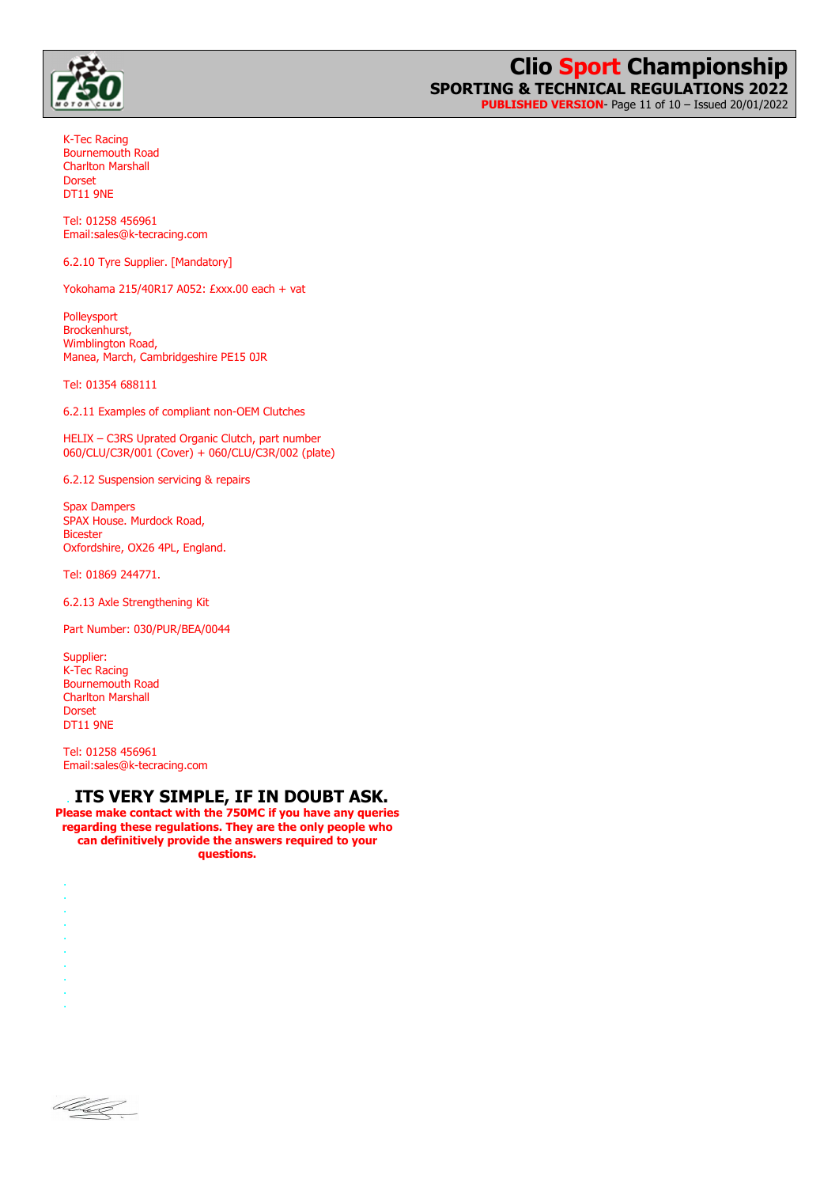

**PUBLISHED VERSION**- Page 11 of 10 – Issued 20/01/2022

K-Tec Racing Bournemouth Road Charlton Marshall Dorset DT11 9NE

Tel: 01258 456961 Email:sales@k-tecracing.com

6.2.10 Tyre Supplier. [Mandatory]

Yokohama 215/40R17 A052: £xxx.00 each + vat

Polleysport Brockenhurst, Wimblington Road, Manea, March, Cambridgeshire PE15 0JR

Tel: 01354 688111

6.2.11 Examples of compliant non-OEM Clutches

HELIX – C3RS Uprated Organic Clutch, part number 060/CLU/C3R/001 (Cover) + 060/CLU/C3R/002 (plate)

6.2.12 Suspension servicing & repairs

Spax Dampers SPAX House. Murdock Road, Bicester Oxfordshire, OX26 4PL, England.

Tel: 01869 244771.

6.2.13 Axle Strengthening Kit

Part Number: 030/PUR/BEA/0044

Supplier: K-Tec Racing Bournemouth Road Charlton Marshall Dorset DT11 9NE

Tel: 01258 456961 Email:sales@k-tecracing.com

## . **ITS VERY SIMPLE, IF IN DOUBT ASK.**

**Please make contact with the 750MC if you have any queries regarding these regulations. They are the only people who can definitively provide the answers required to your questions.** 

alle

. . . . . . . . .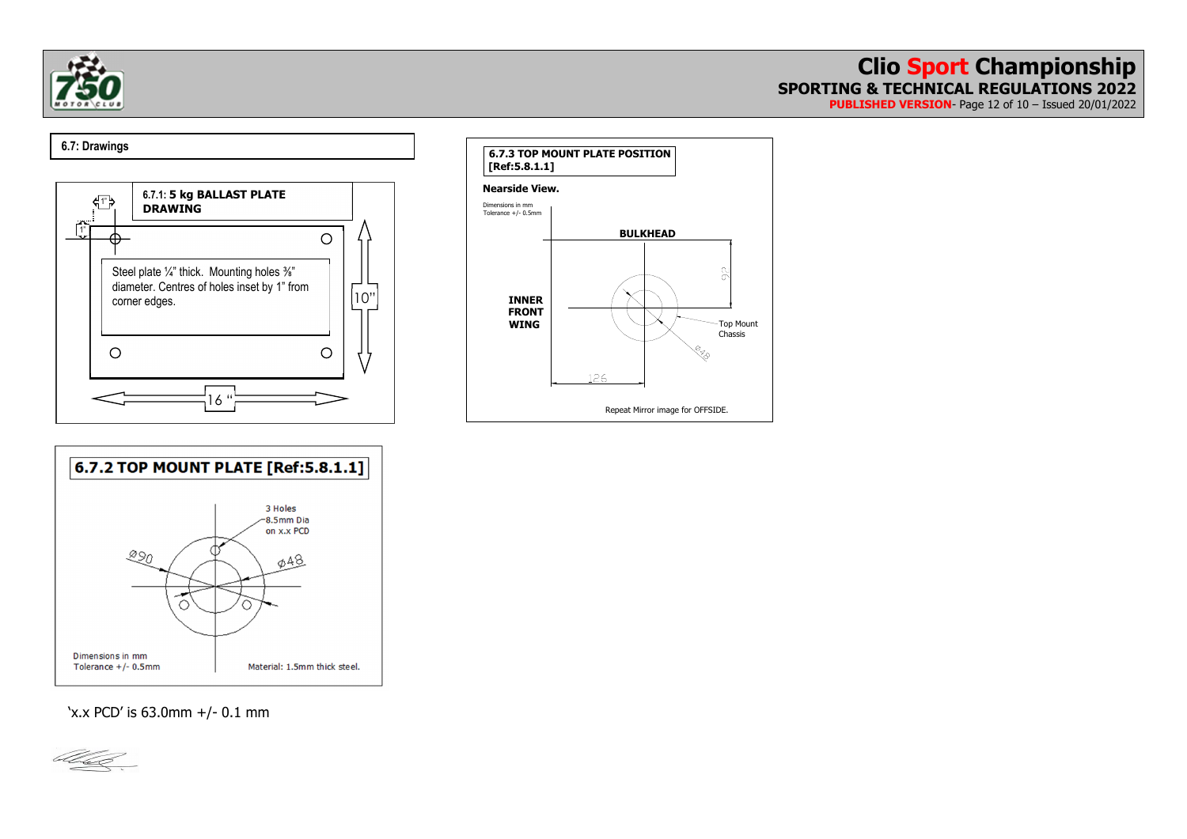

**PUBLISHED VERSION**- Page 12 of 10 – Issued 20/01/2022

## 00000010000**6.7: Drawings**







'x.x PCD' is 63.0mm +/- 0.1 mm

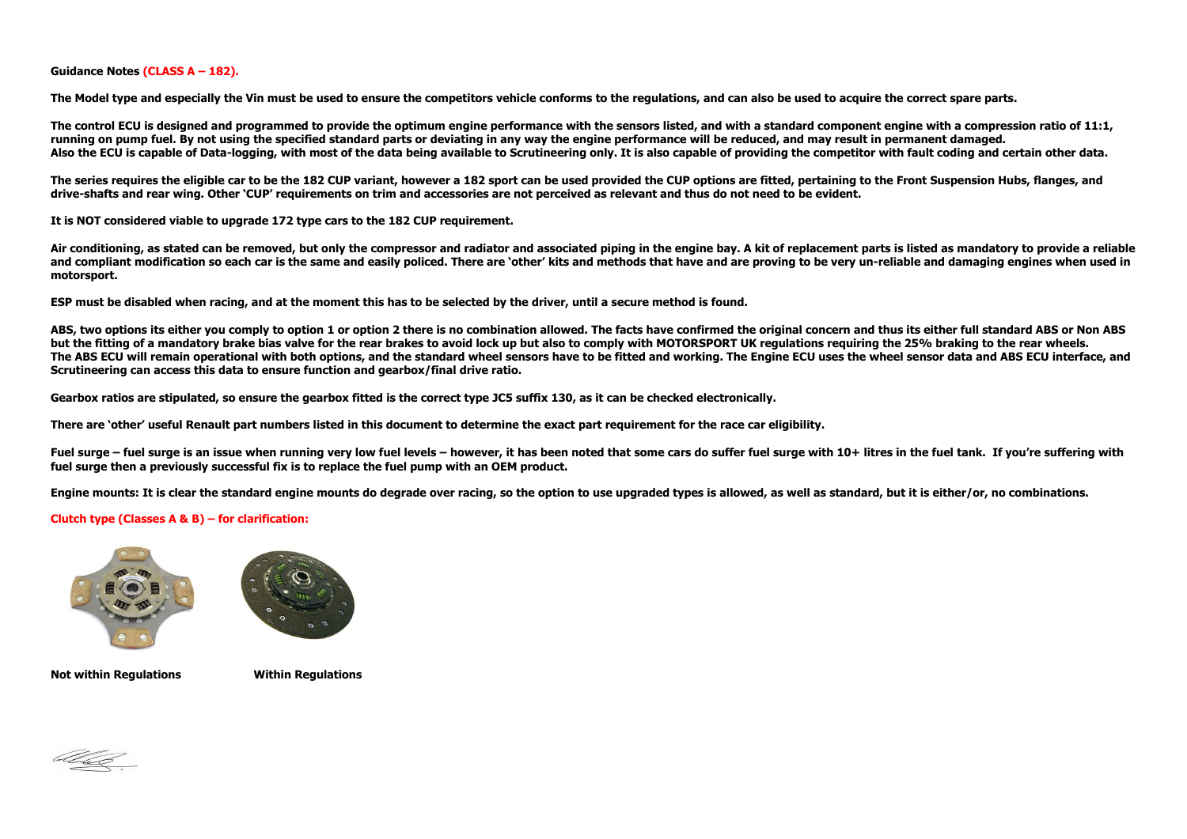**Guidance Notes (CLASS A – 182).** 

**The Model type and especially the Vin must be used to ensure the competitors vehicle conforms to the regulations, and can also be used to acquire the correct spare parts.** 

The control ECU is designed and programmed to provide the optimum engine performance with the sensors listed, and with a standard component engine with a compression ratio of 11:1, **running on pump fuel. By not using the specified standard parts or deviating in any way the engine performance will be reduced, and may result in permanent damaged.**  Also the ECU is capable of Data-logging, with most of the data being available to Scrutineering only. It is also capable of providing the competitor with fault coding and certain other data.

**The series requires the eligible car to be the 182 CUP variant, however a 182 sport can be used provided the CUP options are fitted, pertaining to the Front Suspension Hubs, flanges, and drive-shafts and rear wing. Other 'CUP' requirements on trim and accessories are not perceived as relevant and thus do not need to be evident.** 

**It is NOT considered viable to upgrade 172 type cars to the 182 CUP requirement.** 

**Air conditioning, as stated can be removed, but only the compressor and radiator and associated piping in the engine bay. A kit of replacement parts is listed as mandatory to provide a reliable and compliant modification so each car is the same and easily policed. There are 'other' kits and methods that have and are proving to be very un-reliable and damaging engines when used in motorsport.** 

**ESP must be disabled when racing, and at the moment this has to be selected by the driver, until a secure method is found.** 

ABS, two options its either you comply to option 1 or option 2 there is no combination allowed. The facts have confirmed the original concern and thus its either full standard ABS or Non ABS **but the fitting of a mandatory brake bias valve for the rear brakes to avoid lock up but also to comply with MOTORSPORT UK regulations requiring the 25% braking to the rear wheels. The ABS ECU will remain operational with both options, and the standard wheel sensors have to be fitted and working. The Engine ECU uses the wheel sensor data and ABS ECU interface, and Scrutineering can access this data to ensure function and gearbox/final drive ratio.** 

**Gearbox ratios are stipulated, so ensure the gearbox fitted is the correct type JC5 suffix 130, as it can be checked electronically.** 

**There are 'other' useful Renault part numbers listed in this document to determine the exact part requirement for the race car eligibility.** 

Fuel surge – fuel surge is an issue when running very low fuel levels – however, it has been noted that some cars do suffer fuel surge with 10+ litres in the fuel tank. If you're suffering with **fuel surge then a previously successful fix is to replace the fuel pump with an OEM product.** 

**Engine mounts: It is clear the standard engine mounts do degrade over racing, so the option to use upgraded types is allowed, as well as standard, but it is either/or, no combinations.** 

#### **Clutch type (Classes A & B) – for clarification:**





**Not within Regulations Within Regulations**